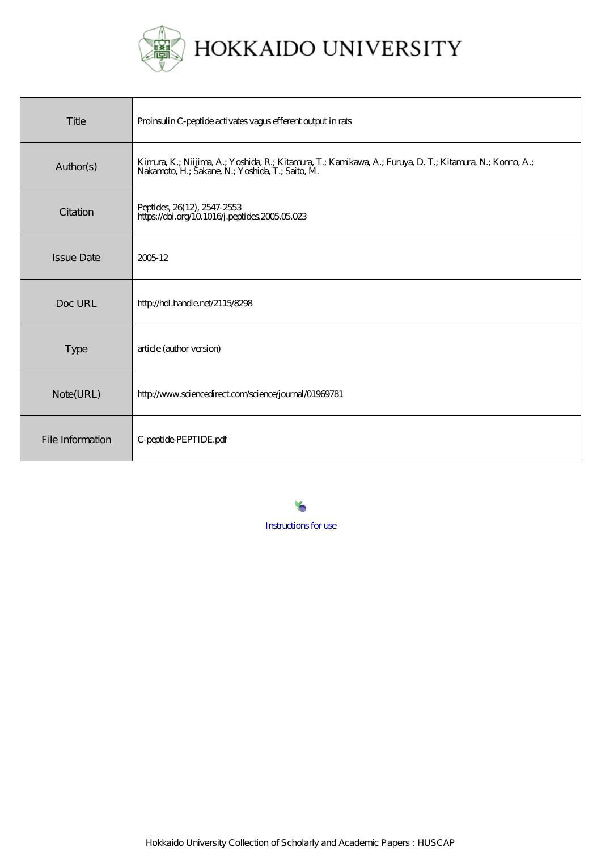

| Title             | Proinsulin C-peptide activates vagus efferent output in rats                                                                                                  |
|-------------------|---------------------------------------------------------------------------------------------------------------------------------------------------------------|
| Author(s)         | Kimura, K.; Niijima, A.; Yoshida, R.; Kitamura, T.; Kamikawa, A.; Furuya, D. T.; Kitamura, N.; Korno, A.;<br>Nakamoto, H.; Šakane, N.; Yoshida, T.; Saito, M. |
| Citation          | Peptides, 26(12), 2547-2553<br>https://doi.org/10.1016/j.peptides.2005.05.023                                                                                 |
| <b>Issue Date</b> | 200512                                                                                                                                                        |
| Doc URL           | http://hdl.handle.net/2115/8298                                                                                                                               |
| <b>Type</b>       | article (author version)                                                                                                                                      |
| Note(URL)         | http://www.sciencedirect.com/science/journal/01969781                                                                                                         |
| File Information  | C-peptide-PEPTIDE.pdf                                                                                                                                         |

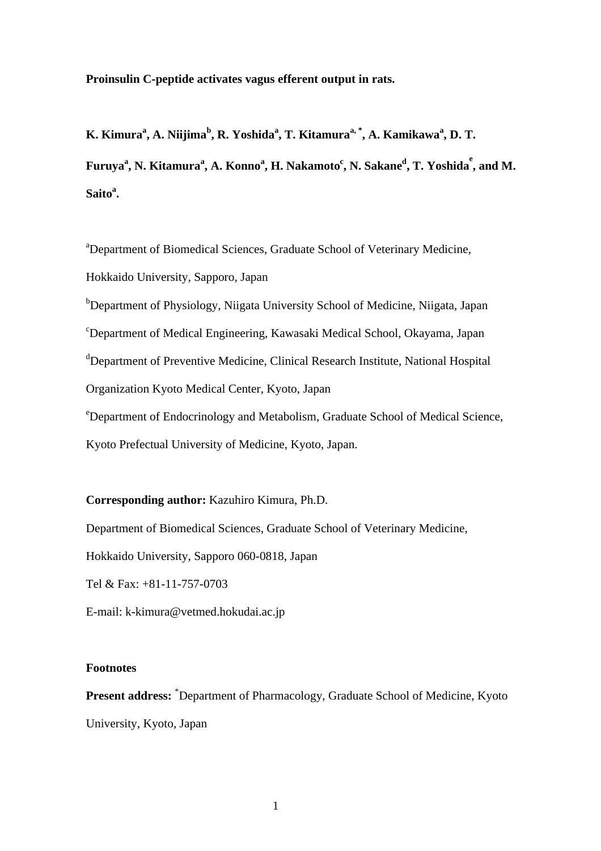**Proinsulin C-peptide activates vagus efferent output in rats.**

**K. Kimura<sup>a</sup> , A. Niijima<sup>b</sup> , R. Yoshida<sup>a</sup> , T. Kitamuraa, \*, A. Kamikawa<sup>a</sup> , D. T.**  $\bf{Furuya}^a, \bf{N}.~\bf{Kitamura}^a, \bf{A}.~\bf{Konno}^a, \bf{H}.~\bf{Nakamoto}^c, \bf{N}.~\bf{Sakane}^d, \bf{T}.~\bf{Yoshida}^e, \bf{and}~\bf{M}.$ **Saito<sup>a</sup> .**

<sup>a</sup>Department of Biomedical Sciences, Graduate School of Veterinary Medicine, Hokkaido University, Sapporo, Japan

<sup>b</sup>Department of Physiology, Niigata University School of Medicine, Niigata, Japan <sup>c</sup>Department of Medical Engineering, Kawasaki Medical School, Okayama, Japan <sup>d</sup>Department of Preventive Medicine, Clinical Research Institute, National Hospital Organization Kyoto Medical Center, Kyoto, Japan

<sup>e</sup>Department of Endocrinology and Metabolism, Graduate School of Medical Science, Kyoto Prefectual University of Medicine, Kyoto, Japan.

**Corresponding author:** Kazuhiro Kimura, Ph.D.

Department of Biomedical Sciences, Graduate School of Veterinary Medicine,

Hokkaido University, Sapporo 060-0818, Japan

Tel & Fax: +81-11-757-0703

E-mail: k-kimura@vetmed.hokudai.ac.jp

## **Footnotes**

**Present address:** \*Department of Pharmacology, Graduate School of Medicine, Kyoto University, Kyoto, Japan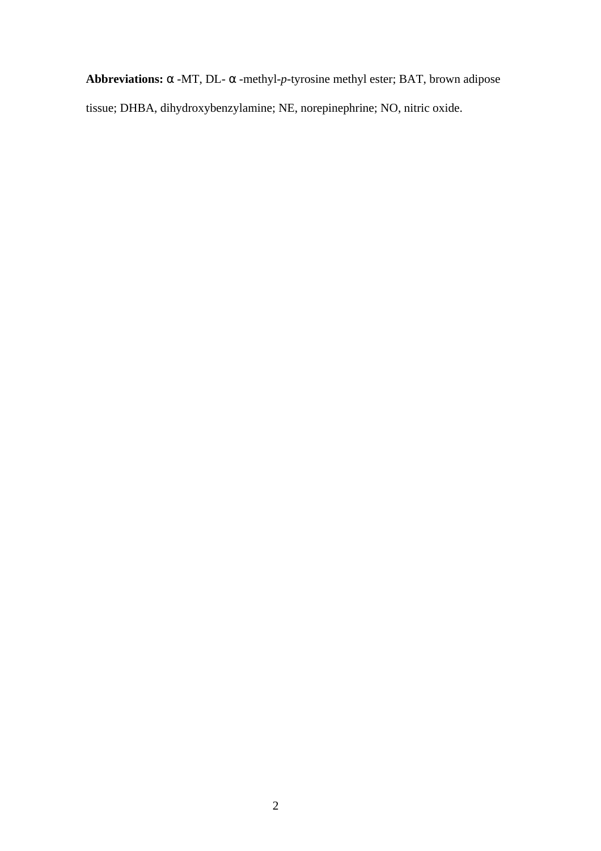**Abbreviations:** -MT, DL- -methyl-*p*-tyrosine methyl ester; BAT, brown adipose tissue; DHBA, dihydroxybenzylamine; NE, norepinephrine; NO, nitric oxide.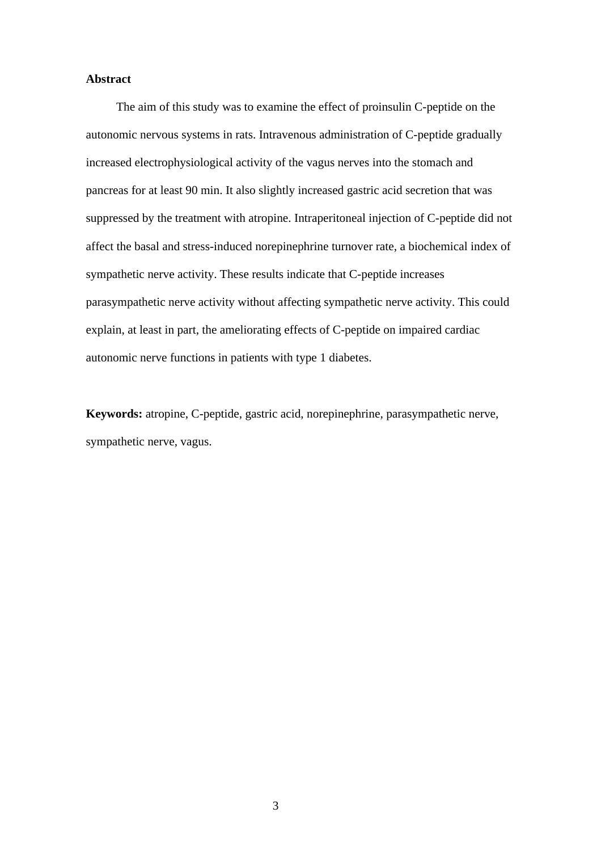## **Abstract**

The aim of this study was to examine the effect of proinsulin C-peptide on the autonomic nervous systems in rats. Intravenous administration of C-peptide gradually increased electrophysiological activity of the vagus nerves into the stomach and pancreas for at least 90 min. It also slightly increased gastric acid secretion that was suppressed by the treatment with atropine. Intraperitoneal injection of C-peptide did not affect the basal and stress-induced norepinephrine turnover rate, a biochemical index of sympathetic nerve activity. These results indicate that C-peptide increases parasympathetic nerve activity without affecting sympathetic nerve activity. This could explain, at least in part, the ameliorating effects of C-peptide on impaired cardiac autonomic nerve functions in patients with type 1 diabetes.

**Keywords:** atropine, C-peptide, gastric acid, norepinephrine, parasympathetic nerve, sympathetic nerve, vagus.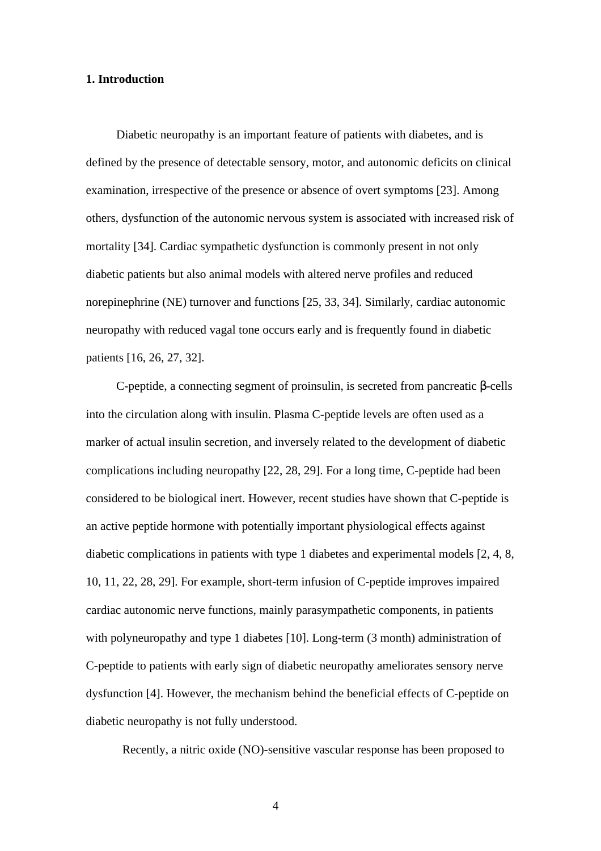## **1. Introduction**

Diabetic neuropathy is an important feature of patients with diabetes, and is defined by the presence of detectable sensory, motor, and autonomic deficits on clinical examination, irrespective of the presence or absence of overt symptoms [23]. Among others, dysfunction of the autonomic nervous system is associated with increased risk of mortality [34]. Cardiac sympathetic dysfunction is commonly present in not only diabetic patients but also animal models with altered nerve profiles and reduced norepinephrine (NE) turnover and functions [25, 33, 34]. Similarly, cardiac autonomic neuropathy with reduced vagal tone occurs early and is frequently found in diabetic patients [16, 26, 27, 32].

C-peptide, a connecting segment of proinsulin, is secreted from pancreatic -cells into the circulation along with insulin. Plasma C-peptide levels are often used as a marker of actual insulin secretion, and inversely related to the development of diabetic complications including neuropathy [22, 28, 29]. For a long time, C-peptide had been considered to be biological inert. However, recent studies have shown that C-peptide is an active peptide hormone with potentially important physiological effects against diabetic complications in patients with type 1 diabetes and experimental models [2, 4, 8, 10, 11, 22, 28, 29]. For example, short-term infusion of C-peptide improves impaired cardiac autonomic nerve functions, mainly parasympathetic components, in patients with polyneuropathy and type 1 diabetes [10]. Long-term (3 month) administration of C-peptide to patients with early sign of diabetic neuropathy ameliorates sensory nerve dysfunction [4]. However, the mechanism behind the beneficial effects of C-peptide on diabetic neuropathy is not fully understood.

Recently, a nitric oxide (NO)-sensitive vascular response has been proposed to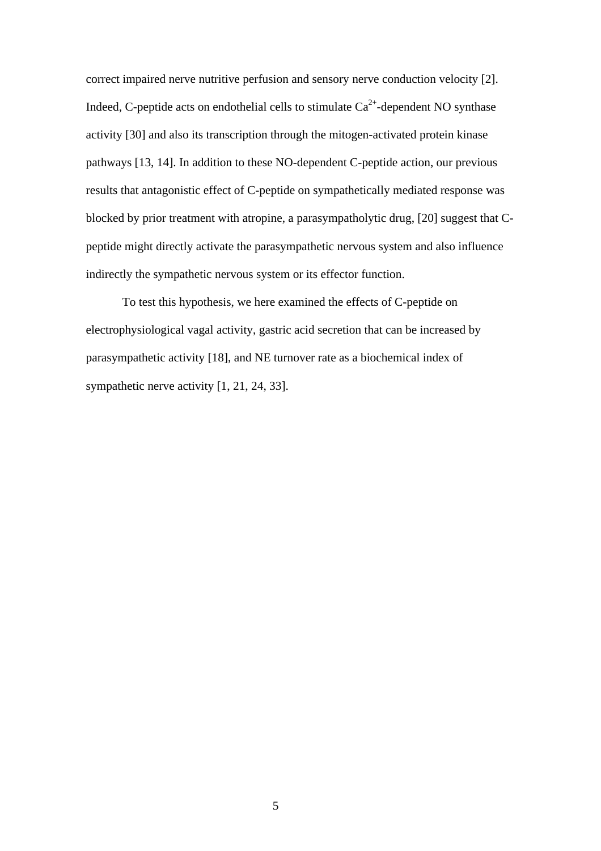correct impaired nerve nutritive perfusion and sensory nerve conduction velocity [2]. Indeed, C-peptide acts on endothelial cells to stimulate  $Ca^{2+}$ -dependent NO synthase activity [30] and also its transcription through the mitogen-activated protein kinase pathways [13, 14]. In addition to these NO-dependent C-peptide action, our previous results that antagonistic effect of C-peptide on sympathetically mediated response was blocked by prior treatment with atropine, a parasympatholytic drug, [20] suggest that Cpeptide might directly activate the parasympathetic nervous system and also influence indirectly the sympathetic nervous system or its effector function.

To test this hypothesis, we here examined the effects of C-peptide on electrophysiological vagal activity, gastric acid secretion that can be increased by parasympathetic activity [18], and NE turnover rate as a biochemical index of sympathetic nerve activity [1, 21, 24, 33].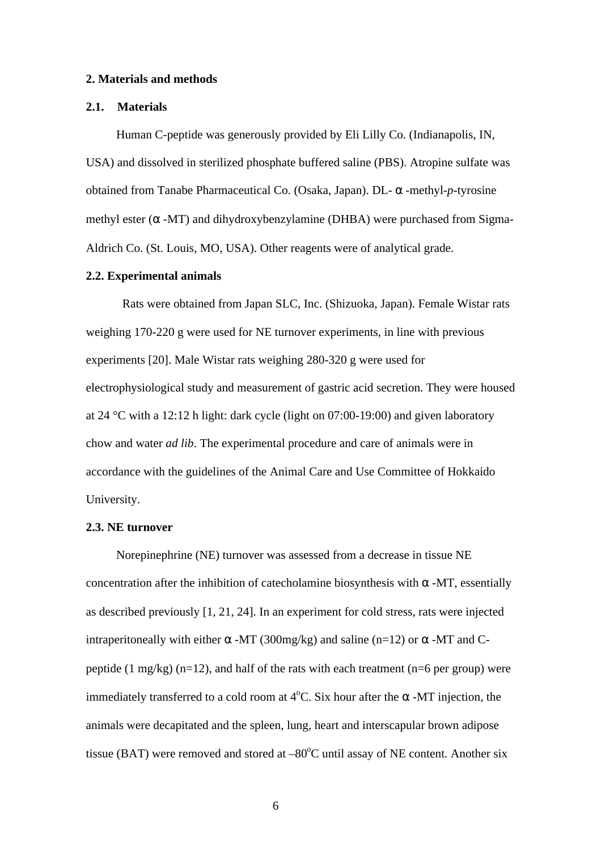#### **2. Materials and methods**

## **2.1. Materials**

Human C-peptide was generously provided by Eli Lilly Co. (Indianapolis, IN, USA) and dissolved in sterilized phosphate buffered saline (PBS). Atropine sulfate was obtained from Tanabe Pharmaceutical Co. (Osaka, Japan). DL- -methyl-*p*-tyrosine methyl ester ( $-MT$ ) and dihydroxybenzylamine (DHBA) were purchased from Sigma-Aldrich Co. (St. Louis, MO, USA). Other reagents were of analytical grade.

## **2.2. Experimental animals**

Rats were obtained from Japan SLC, Inc. (Shizuoka, Japan). Female Wistar rats weighing 170-220 g were used for NE turnover experiments, in line with previous experiments [20]. Male Wistar rats weighing 280-320 g were used for electrophysiological study and measurement of gastric acid secretion. They were housed at 24 °C with a 12:12 h light: dark cycle (light on 07:00-19:00) and given laboratory chow and water *ad lib*. The experimental procedure and care of animals were in accordance with the guidelines of the Animal Care and Use Committee of Hokkaido University.

## **2.3. NE turnover**

Norepinephrine (NE) turnover was assessed from a decrease in tissue NE concentration after the inhibition of catecholamine biosynthesis with -MT, essentially as described previously [1, 21, 24]. In an experiment for cold stress, rats were injected intraperitoneally with either  $-MT (300mg/kg)$  and saline (n=12) or  $-MT$  and Cpeptide (1 mg/kg) (n=12), and half of the rats with each treatment (n=6 per group) were immediately transferred to a cold room at  $4^{\circ}$ C. Six hour after the -MT injection, the animals were decapitated and the spleen, lung, heart and interscapular brown adipose tissue (BAT) were removed and stored at  $-80^{\circ}$ C until assay of NE content. Another six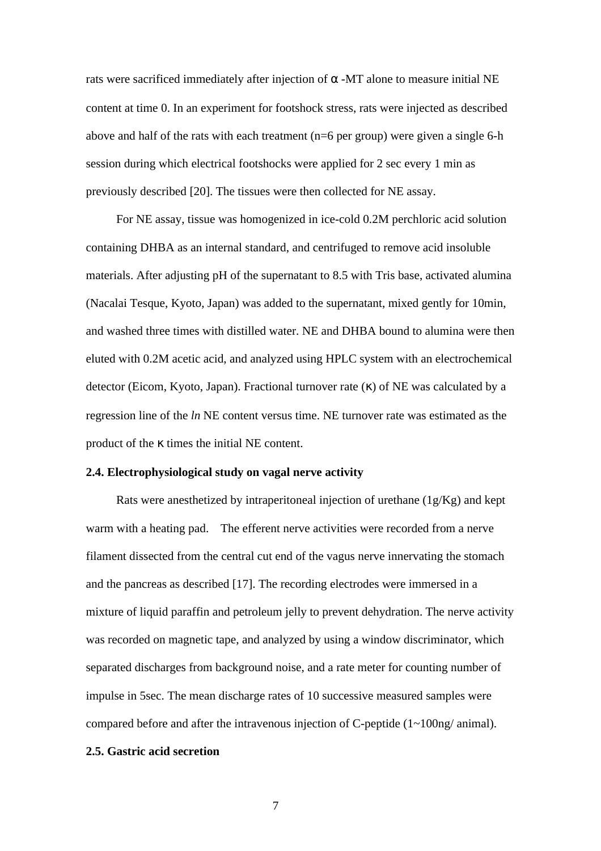rats were sacrificed immediately after injection of -MT alone to measure initial NE content at time 0. In an experiment for footshock stress, rats were injected as described above and half of the rats with each treatment ( $n=6$  per group) were given a single 6-h session during which electrical footshocks were applied for 2 sec every 1 min as previously described [20]. The tissues were then collected for NE assay.

For NE assay, tissue was homogenized in ice-cold 0.2M perchloric acid solution containing DHBA as an internal standard, and centrifuged to remove acid insoluble materials. After adjusting pH of the supernatant to 8.5 with Tris base, activated alumina (Nacalai Tesque, Kyoto, Japan) was added to the supernatant, mixed gently for 10min, and washed three times with distilled water. NE and DHBA bound to alumina were then eluted with 0.2M acetic acid, and analyzed using HPLC system with an electrochemical detector (Eicom, Kyoto, Japan). Fractional turnover rate ( ) of NE was calculated by a regression line of the *ln* NE content versus time. NE turnover rate was estimated as the product of the times the initial NE content.

### **2.4. Electrophysiological study on vagal nerve activity**

Rats were anesthetized by intraperitoneal injection of urethane (1g/Kg) and kept warm with a heating pad. The efferent nerve activities were recorded from a nerve filament dissected from the central cut end of the vagus nerve innervating the stomach and the pancreas as described [17]. The recording electrodes were immersed in a mixture of liquid paraffin and petroleum jelly to prevent dehydration. The nerve activity was recorded on magnetic tape, and analyzed by using a window discriminator, which separated discharges from background noise, and a rate meter for counting number of impulse in 5sec. The mean discharge rates of 10 successive measured samples were compared before and after the intravenous injection of C-peptide (1~100ng/ animal).

# **2.5. Gastric acid secretion**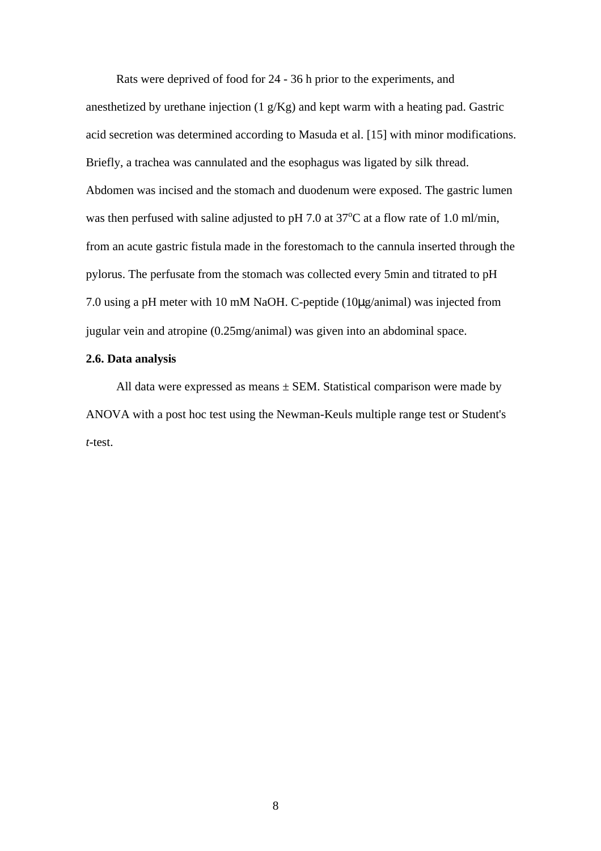Rats were deprived of food for 24 - 36 h prior to the experiments, and anesthetized by urethane injection (1 g/Kg) and kept warm with a heating pad. Gastric acid secretion was determined according to Masuda et al. [15] with minor modifications. Briefly, a trachea was cannulated and the esophagus was ligated by silk thread. Abdomen was incised and the stomach and duodenum were exposed. The gastric lumen was then perfused with saline adjusted to pH 7.0 at  $37^{\circ}$ C at a flow rate of 1.0 ml/min, from an acute gastric fistula made in the forestomach to the cannula inserted through the pylorus. The perfusate from the stomach was collected every 5min and titrated to pH 7.0 using a pH meter with 10 mM NaOH. C-peptide (10μg/animal) was injected from jugular vein and atropine (0.25mg/animal) was given into an abdominal space.

# **2.6. Data analysis**

All data were expressed as means  $\pm$  SEM. Statistical comparison were made by ANOVA with a post hoc test using the Newman-Keuls multiple range test or Student's *t-*test.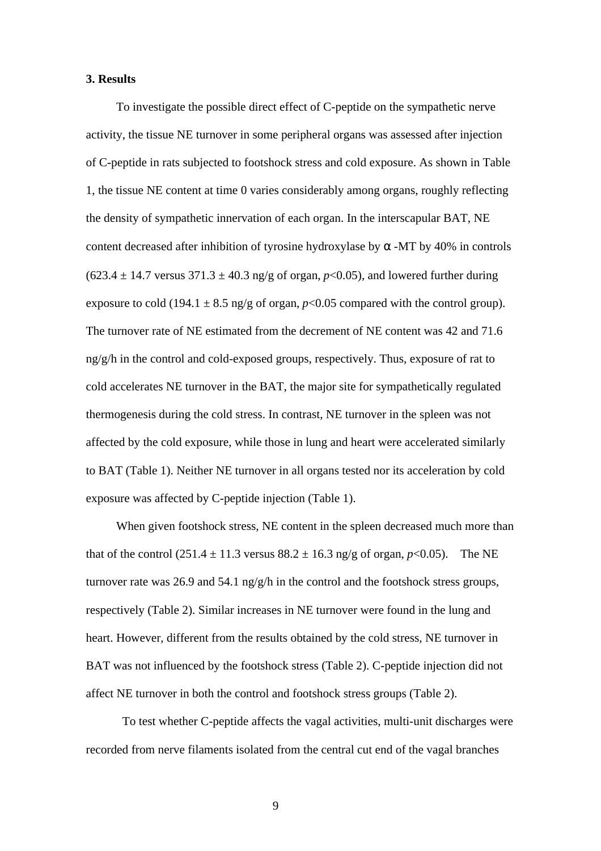### **3. Results**

To investigate the possible direct effect of C-peptide on the sympathetic nerve activity, the tissue NE turnover in some peripheral organs was assessed after injection of C-peptide in rats subjected to footshock stress and cold exposure. As shown in Table 1, the tissue NE content at time 0 varies considerably among organs, roughly reflecting the density of sympathetic innervation of each organ. In the interscapular BAT, NE content decreased after inhibition of tyrosine hydroxylase by -MT by 40% in controls  $(623.4 \pm 14.7 \text{ versus } 371.3 \pm 40.3 \text{ ng/g of organ, } p<0.05)$ , and lowered further during exposure to cold (194.1  $\pm$  8.5 ng/g of organ,  $p$ <0.05 compared with the control group). The turnover rate of NE estimated from the decrement of NE content was 42 and 71.6 ng/g/h in the control and cold-exposed groups, respectively. Thus, exposure of rat to cold accelerates NE turnover in the BAT, the major site for sympathetically regulated thermogenesis during the cold stress. In contrast, NE turnover in the spleen was not affected by the cold exposure, while those in lung and heart were accelerated similarly to BAT (Table 1). Neither NE turnover in all organs tested nor its acceleration by cold exposure was affected by C-peptide injection (Table 1).

When given footshock stress, NE content in the spleen decreased much more than that of the control  $(251.4 \pm 11.3 \text{ versus } 88.2 \pm 16.3 \text{ ng/g of organ}, p<0.05)$ . The NE turnover rate was 26.9 and 54.1 ng/g/h in the control and the footshock stress groups, respectively (Table 2). Similar increases in NE turnover were found in the lung and heart. However, different from the results obtained by the cold stress, NE turnover in BAT was not influenced by the footshock stress (Table 2). C-peptide injection did not affect NE turnover in both the control and footshock stress groups (Table 2).

To test whether C-peptide affects the vagal activities, multi-unit discharges were recorded from nerve filaments isolated from the central cut end of the vagal branches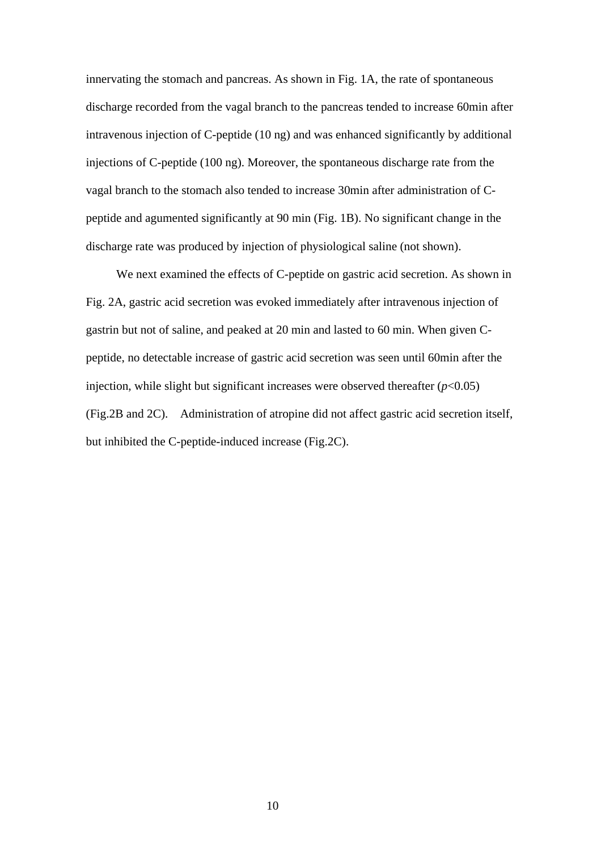innervating the stomach and pancreas. As shown in Fig. 1A, the rate of spontaneous discharge recorded from the vagal branch to the pancreas tended to increase 60min after intravenous injection of C-peptide (10 ng) and was enhanced significantly by additional injections of C-peptide (100 ng). Moreover, the spontaneous discharge rate from the vagal branch to the stomach also tended to increase 30min after administration of Cpeptide and agumented significantly at 90 min (Fig. 1B). No significant change in the discharge rate was produced by injection of physiological saline (not shown).

We next examined the effects of C-peptide on gastric acid secretion. As shown in Fig. 2A, gastric acid secretion was evoked immediately after intravenous injection of gastrin but not of saline, and peaked at 20 min and lasted to 60 min. When given Cpeptide, no detectable increase of gastric acid secretion was seen until 60min after the injection, while slight but significant increases were observed thereafter  $(p<0.05)$ (Fig.2B and 2C). Administration of atropine did not affect gastric acid secretion itself, but inhibited the C-peptide-induced increase (Fig.2C).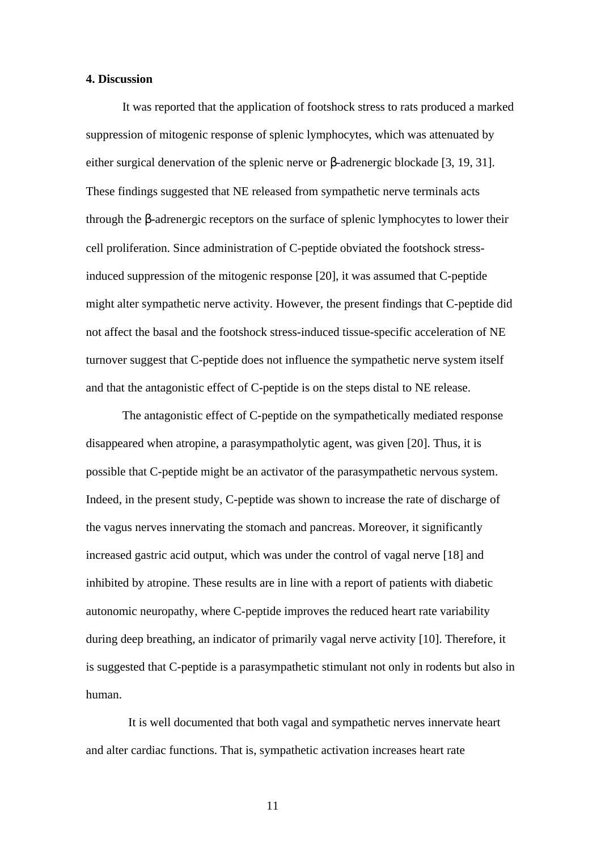## **4. Discussion**

It was reported that the application of footshock stress to rats produced a marked suppression of mitogenic response of splenic lymphocytes, which was attenuated by either surgical denervation of the splenic nerve or -adrenergic blockade [3, 19, 31]. These findings suggested that NE released from sympathetic nerve terminals acts through the -adrenergic receptors on the surface of splenic lymphocytes to lower their cell proliferation. Since administration of C-peptide obviated the footshock stressinduced suppression of the mitogenic response [20], it was assumed that C-peptide might alter sympathetic nerve activity. However, the present findings that C-peptide did not affect the basal and the footshock stress-induced tissue-specific acceleration of NE turnover suggest that C-peptide does not influence the sympathetic nerve system itself and that the antagonistic effect of C-peptide is on the steps distal to NE release.

The antagonistic effect of C-peptide on the sympathetically mediated response disappeared when atropine, a parasympatholytic agent, was given [20]. Thus, it is possible that C-peptide might be an activator of the parasympathetic nervous system. Indeed, in the present study, C-peptide was shown to increase the rate of discharge of the vagus nerves innervating the stomach and pancreas. Moreover, it significantly increased gastric acid output, which was under the control of vagal nerve [18] and inhibited by atropine. These results are in line with a report of patients with diabetic autonomic neuropathy, where C-peptide improves the reduced heart rate variability during deep breathing, an indicator of primarily vagal nerve activity [10]. Therefore, it is suggested that C-peptide is a parasympathetic stimulant not only in rodents but also in human.

It is well documented that both vagal and sympathetic nerves innervate heart and alter cardiac functions. That is, sympathetic activation increases heart rate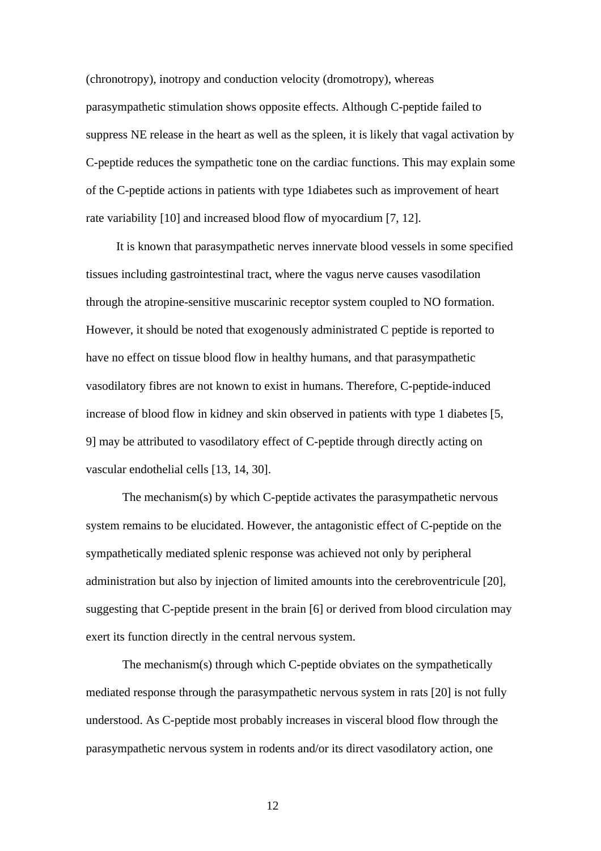(chronotropy), inotropy and conduction velocity (dromotropy), whereas parasympathetic stimulation shows opposite effects. Although C-peptide failed to suppress NE release in the heart as well as the spleen, it is likely that vagal activation by C-peptide reduces the sympathetic tone on the cardiac functions. This may explain some of the C-peptide actions in patients with type 1diabetes such as improvement of heart rate variability [10] and increased blood flow of myocardium [7, 12].

It is known that parasympathetic nerves innervate blood vessels in some specified tissues including gastrointestinal tract, where the vagus nerve causes vasodilation through the atropine-sensitive muscarinic receptor system coupled to NO formation. However, it should be noted that exogenously administrated C peptide is reported to have no effect on tissue blood flow in healthy humans, and that parasympathetic vasodilatory fibres are not known to exist in humans. Therefore, C-peptide-induced increase of blood flow in kidney and skin observed in patients with type 1 diabetes [5, 9] may be attributed to vasodilatory effect of C-peptide through directly acting on vascular endothelial cells [13, 14, 30].

The mechanism(s) by which C-peptide activates the parasympathetic nervous system remains to be elucidated. However, the antagonistic effect of C-peptide on the sympathetically mediated splenic response was achieved not only by peripheral administration but also by injection of limited amounts into the cerebroventricule [20], suggesting that C-peptide present in the brain [6] or derived from blood circulation may exert its function directly in the central nervous system.

The mechanism(s) through which C-peptide obviates on the sympathetically mediated response through the parasympathetic nervous system in rats [20] is not fully understood. As C-peptide most probably increases in visceral blood flow through the parasympathetic nervous system in rodents and/or its direct vasodilatory action, one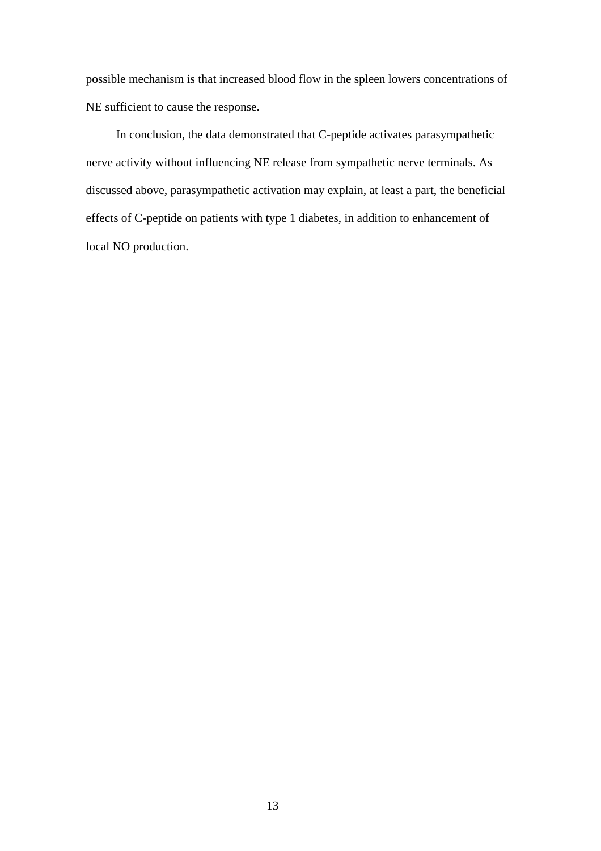possible mechanism is that increased blood flow in the spleen lowers concentrations of NE sufficient to cause the response.

In conclusion, the data demonstrated that C-peptide activates parasympathetic nerve activity without influencing NE release from sympathetic nerve terminals. As discussed above, parasympathetic activation may explain, at least a part, the beneficial effects of C-peptide on patients with type 1 diabetes, in addition to enhancement of local NO production.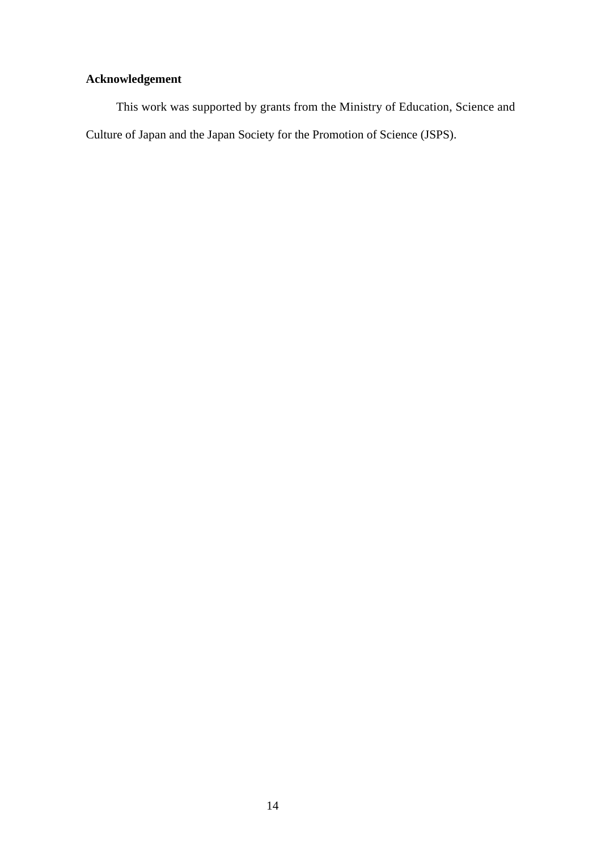# **Acknowledgement**

This work was supported by grants from the Ministry of Education, Science and Culture of Japan and the Japan Society for the Promotion of Science (JSPS).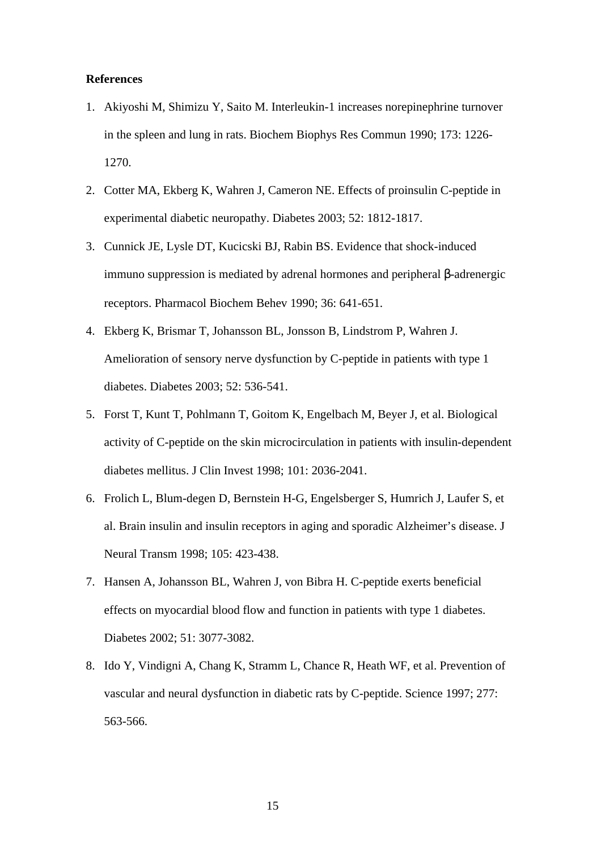## **References**

- 1. Akiyoshi M, Shimizu Y, Saito M. Interleukin-1 increases norepinephrine turnover in the spleen and lung in rats. Biochem Biophys Res Commun 1990; 173: 1226- 1270.
- 2. Cotter MA, Ekberg K, Wahren J, Cameron NE. Effects of proinsulin C-peptide in experimental diabetic neuropathy. Diabetes 2003; 52: 1812-1817.
- 3. Cunnick JE, Lysle DT, Kucicski BJ, Rabin BS. Evidence that shock-induced immuno suppression is mediated by adrenal hormones and peripheral -adrenergic receptors. Pharmacol Biochem Behev 1990; 36: 641-651.
- 4. Ekberg K, Brismar T, Johansson BL, Jonsson B, Lindstrom P, Wahren J. Amelioration of sensory nerve dysfunction by C-peptide in patients with type 1 diabetes. Diabetes 2003; 52: 536-541.
- 5. Forst T, Kunt T, Pohlmann T, Goitom K, Engelbach M, Beyer J, et al. Biological activity of C-peptide on the skin microcirculation in patients with insulin-dependent diabetes mellitus. J Clin Invest 1998; 101: 2036-2041.
- 6. Frolich L, Blum-degen D, Bernstein H-G, Engelsberger S, Humrich J, Laufer S, et al. Brain insulin and insulin receptors in aging and sporadic Alzheimer's disease. J Neural Transm 1998; 105: 423-438.
- 7. Hansen A, Johansson BL, Wahren J, von Bibra H. C-peptide exerts beneficial effects on myocardial blood flow and function in patients with type 1 diabetes. Diabetes 2002; 51: 3077-3082.
- 8. Ido Y, Vindigni A, Chang K, Stramm L, Chance R, Heath WF, et al. Prevention of vascular and neural dysfunction in diabetic rats by C-peptide. Science 1997; 277: 563-566.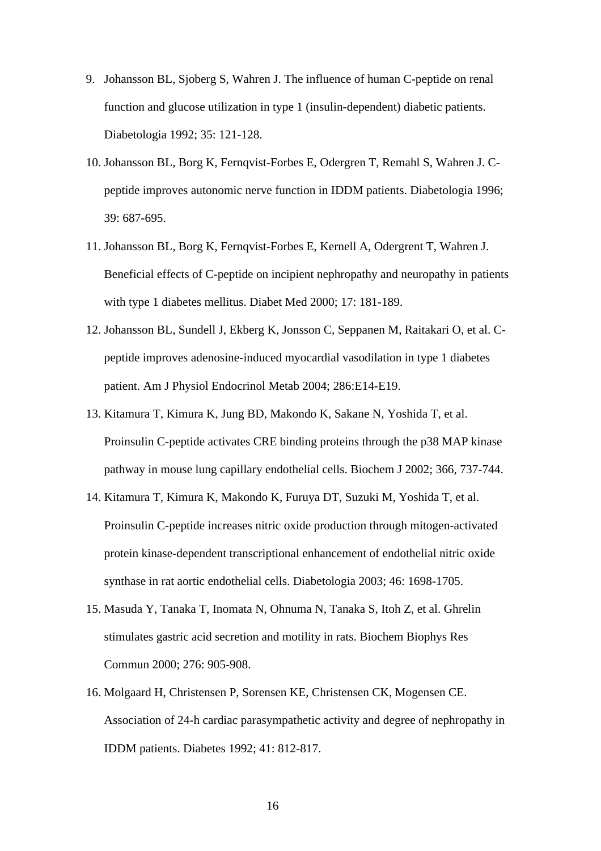- 9. Johansson BL, Sjoberg S, Wahren J. The influence of human C-peptide on renal function and glucose utilization in type 1 (insulin-dependent) diabetic patients. Diabetologia 1992; 35: 121-128.
- 10. Johansson BL, Borg K, Fernqvist-Forbes E, Odergren T, Remahl S, Wahren J. Cpeptide improves autonomic nerve function in IDDM patients. Diabetologia 1996; 39: 687-695.
- 11. Johansson BL, Borg K, Fernqvist-Forbes E, Kernell A, Odergrent T, Wahren J. Beneficial effects of C-peptide on incipient nephropathy and neuropathy in patients with type 1 diabetes mellitus. Diabet Med 2000; 17: 181-189.
- 12. Johansson BL, Sundell J, Ekberg K, Jonsson C, Seppanen M, Raitakari O, et al. Cpeptide improves adenosine-induced myocardial vasodilation in type 1 diabetes patient. Am J Physiol Endocrinol Metab 2004; 286:E14-E19.
- 13. Kitamura T, Kimura K, Jung BD, Makondo K, Sakane N, Yoshida T, et al. Proinsulin C-peptide activates CRE binding proteins through the p38 MAP kinase pathway in mouse lung capillary endothelial cells. Biochem J 2002; 366, 737-744.
- 14. Kitamura T, Kimura K, Makondo K, Furuya DT, Suzuki M, Yoshida T, et al. Proinsulin C-peptide increases nitric oxide production through mitogen-activated protein kinase-dependent transcriptional enhancement of endothelial nitric oxide synthase in rat aortic endothelial cells. Diabetologia 2003; 46: 1698-1705.
- 15. Masuda Y, Tanaka T, Inomata N, Ohnuma N, Tanaka S, Itoh Z, et al. Ghrelin stimulates gastric acid secretion and motility in rats. Biochem Biophys Res Commun 2000; 276: 905-908.
- 16. Molgaard H, Christensen P, Sorensen KE, Christensen CK, Mogensen CE. Association of 24-h cardiac parasympathetic activity and degree of nephropathy in IDDM patients. Diabetes 1992; 41: 812-817.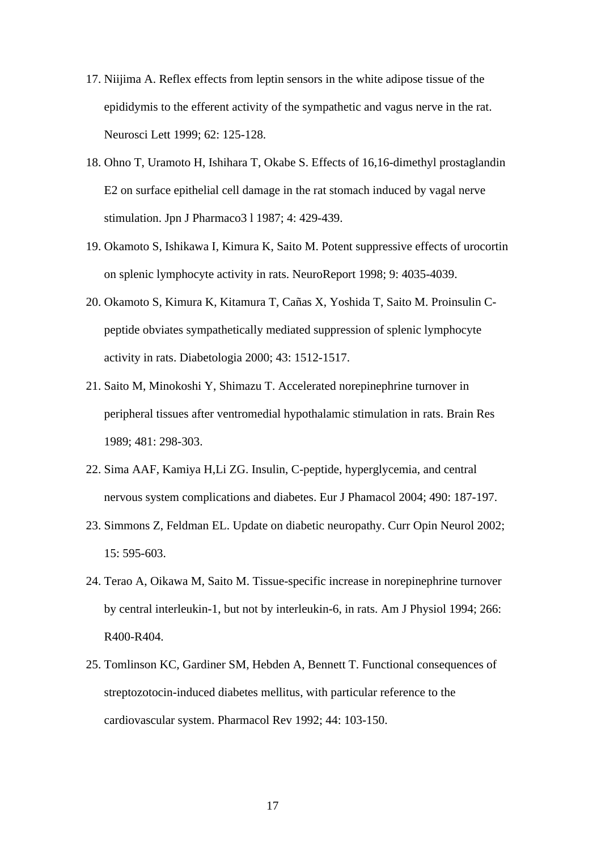- 17. Niijima A. Reflex effects from leptin sensors in the white adipose tissue of the epididymis to the efferent activity of the sympathetic and vagus nerve in the rat. Neurosci Lett 1999; 62: 125-128.
- 18. Ohno T, Uramoto H, Ishihara T, Okabe S. Effects of 16,16-dimethyl prostaglandin E2 on surface epithelial cell damage in the rat stomach induced by vagal nerve stimulation. Jpn J Pharmaco3 l 1987; 4: 429-439.
- 19. Okamoto S, Ishikawa I, Kimura K, Saito M. Potent suppressive effects of urocortin on splenic lymphocyte activity in rats. NeuroReport 1998; 9: 4035-4039.
- 20. Okamoto S, Kimura K, Kitamura T, Cañas X, Yoshida T, Saito M. Proinsulin Cpeptide obviates sympathetically mediated suppression of splenic lymphocyte activity in rats. Diabetologia 2000; 43: 1512-1517.
- 21. Saito M, Minokoshi Y, Shimazu T. Accelerated norepinephrine turnover in peripheral tissues after ventromedial hypothalamic stimulation in rats. Brain Res 1989; 481: 298-303.
- 22. Sima AAF, Kamiya H,Li ZG. Insulin, C-peptide, hyperglycemia, and central nervous system complications and diabetes. Eur J Phamacol 2004; 490: 187-197.
- 23. Simmons Z, Feldman EL. Update on diabetic neuropathy. Curr Opin Neurol 2002; 15: 595-603.
- 24. Terao A, Oikawa M, Saito M. Tissue-specific increase in norepinephrine turnover by central interleukin-1, but not by interleukin-6, in rats. Am J Physiol 1994; 266: R400-R404.
- 25. Tomlinson KC, Gardiner SM, Hebden A, Bennett T. Functional consequences of streptozotocin-induced diabetes mellitus, with particular reference to the cardiovascular system. Pharmacol Rev 1992; 44: 103-150.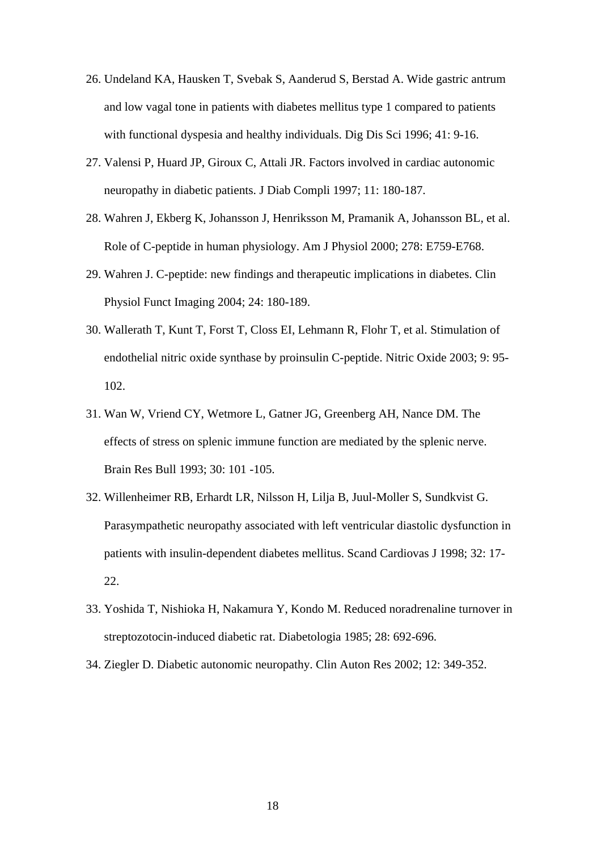- 26. Undeland KA, Hausken T, Svebak S, Aanderud S, Berstad A. Wide gastric antrum and low vagal tone in patients with diabetes mellitus type 1 compared to patients with functional dyspesia and healthy individuals. Dig Dis Sci 1996; 41: 9-16.
- 27. Valensi P, Huard JP, Giroux C, Attali JR. Factors involved in cardiac autonomic neuropathy in diabetic patients. J Diab Compli 1997; 11: 180-187.
- 28. Wahren J, Ekberg K, Johansson J, Henriksson M, Pramanik A, Johansson BL, et al. Role of C-peptide in human physiology. Am J Physiol 2000; 278: E759-E768.
- 29. Wahren J. C-peptide: new findings and therapeutic implications in diabetes. Clin Physiol Funct Imaging 2004; 24: 180-189.
- 30. Wallerath T, Kunt T, Forst T, Closs EI, Lehmann R, Flohr T, et al. Stimulation of endothelial nitric oxide synthase by proinsulin C-peptide. Nitric Oxide 2003; 9: 95- 102.
- 31. Wan W, Vriend CY, Wetmore L, Gatner JG, Greenberg AH, Nance DM. The effects of stress on splenic immune function are mediated by the splenic nerve. Brain Res Bull 1993; 30: 101 -105.
- 32. Willenheimer RB, Erhardt LR, Nilsson H, Lilja B, Juul-Moller S, Sundkvist G. Parasympathetic neuropathy associated with left ventricular diastolic dysfunction in patients with insulin-dependent diabetes mellitus. Scand Cardiovas J 1998; 32: 17- 22.
- 33. Yoshida T, Nishioka H, Nakamura Y, Kondo M. Reduced noradrenaline turnover in streptozotocin-induced diabetic rat. Diabetologia 1985; 28: 692-696.
- 34. Ziegler D. Diabetic autonomic neuropathy. Clin Auton Res 2002; 12: 349-352.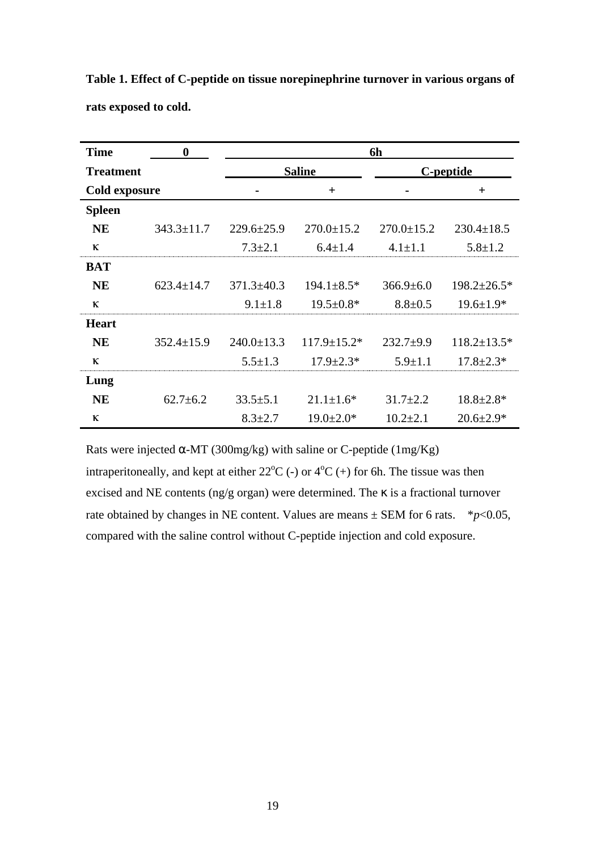| <b>Time</b>      | $\bf{0}$         | 6h               |                    |                  |                    |
|------------------|------------------|------------------|--------------------|------------------|--------------------|
| <b>Treatment</b> |                  | <b>Saline</b>    |                    | C-peptide        |                    |
| Cold exposure    |                  |                  | $+$                |                  | $^{+}$             |
| <b>Spleen</b>    |                  |                  |                    |                  |                    |
| <b>NE</b>        | $343.3 \pm 11.7$ | $229.6 \pm 25.9$ | $270.0 \pm 15.2$   | $270.0 \pm 15.2$ | $230.4 \pm 18.5$   |
| $\kappa$         |                  | $7.3 \pm 2.1$    | $6.4 \pm 1.4$      | $4.1 \pm 1.1$    | $5.8 \pm 1.2$      |
| <b>BAT</b>       |                  |                  |                    |                  |                    |
| <b>NE</b>        | $623.4 \pm 14.7$ | $371.3 \pm 40.3$ | $194.1 \pm 8.5^*$  | $366.9 \pm 6.0$  | $198.2 \pm 26.5*$  |
| $\kappa$         |                  | $9.1 \pm 1.8$    | $19.5 \pm 0.8*$    | $8.8 \pm 0.5$    | $19.6 \pm 1.9*$    |
| <b>Heart</b>     |                  |                  |                    |                  |                    |
| <b>NE</b>        | $352.4 \pm 15.9$ | $240.0 \pm 13.3$ | $117.9 \pm 15.2^*$ | $232.7+9.9$      | $118.2 \pm 13.5^*$ |
| $\kappa$         |                  | $5.5 \pm 1.3$    | $17.9 \pm 2.3*$    | $5.9 \pm 1.1$    | $17.8 \pm 2.3*$    |
| Lung             |                  |                  |                    |                  |                    |
| <b>NE</b>        | $62.7 \pm 6.2$   | $33.5 \pm 5.1$   | $21.1 \pm 1.6^*$   | $31.7 \pm 2.2$   | $18.8 \pm 2.8*$    |
| $\kappa$         |                  | $8.3 \pm 2.7$    | $19.0 \pm 2.0*$    | $10.2 \pm 2.1$   | $20.6 \pm 2.9*$    |

**Table 1. Effect of C-peptide on tissue norepinephrine turnover in various organs of rats exposed to cold.**

Rats were injected -MT (300mg/kg) with saline or C-peptide (1mg/Kg) intraperitoneally, and kept at either  $22^{\circ}C$  (-) or  $4^{\circ}C$  (+) for 6h. The tissue was then excised and NE contents (ng/g organ) were determined. The is a fractional turnover rate obtained by changes in NE content. Values are means  $\pm$  SEM for 6 rats.  $*_{p<0.05}$ , compared with the saline control without C-peptide injection and cold exposure.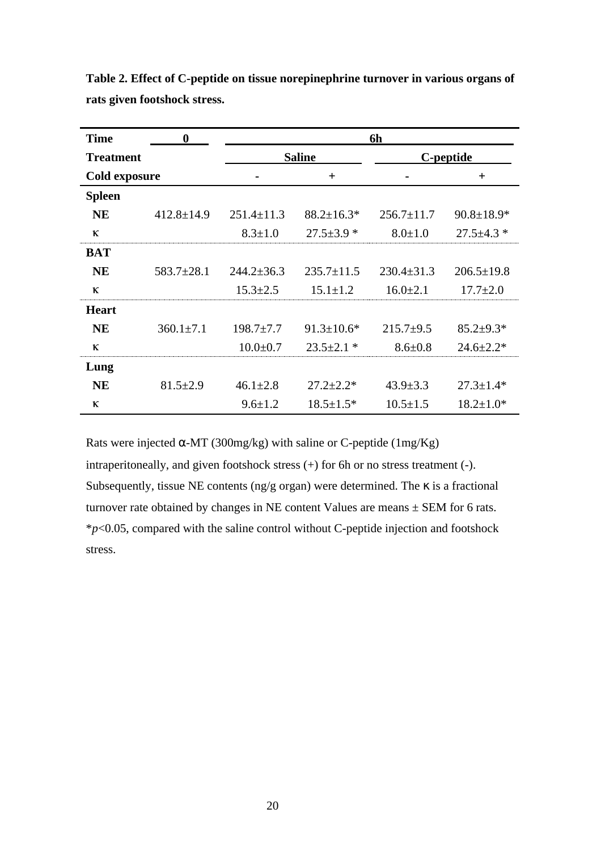| <b>Time</b>      | $\boldsymbol{0}$ | 6h               |                  |                  |                  |  |
|------------------|------------------|------------------|------------------|------------------|------------------|--|
| <b>Treatment</b> |                  | <b>Saline</b>    |                  | C-peptide        |                  |  |
| Cold exposure    |                  |                  | $+$              |                  | $\pm$            |  |
| <b>Spleen</b>    |                  |                  |                  |                  |                  |  |
| <b>NE</b>        | $412.8 \pm 14.9$ | $251.4 \pm 11.3$ | $88.2 \pm 16.3*$ | $256.7 \pm 11.7$ | $90.8 \pm 18.9*$ |  |
| К                |                  | $8.3 \pm 1.0$    | $27.5 \pm 3.9$ * | $8.0 \pm 1.0$    | $27.5 \pm 4.3$ * |  |
| <b>BAT</b>       |                  |                  |                  |                  |                  |  |
| <b>NE</b>        | $583.7 \pm 28.1$ | $244.2 \pm 36.3$ | $235.7 \pm 11.5$ | $230.4 \pm 31.3$ | $206.5 \pm 19.8$ |  |
| К                |                  | $15.3 \pm 2.5$   | $15.1 \pm 1.2$   | $16.0 \pm 2.1$   | $17.7 \pm 2.0$   |  |
| <b>Heart</b>     |                  |                  |                  |                  |                  |  |
| <b>NE</b>        | $360.1 \pm 7.1$  | $198.7 \pm 7.7$  | $91.3 \pm 10.6*$ | $215.7+9.5$      | $85.2 \pm 9.3*$  |  |
| К                |                  | $10.0 \pm 0.7$   | $23.5 \pm 2.1$ * | $8.6 \pm 0.8$    | $24.6 \pm 2.2*$  |  |
| Lung             |                  |                  |                  |                  |                  |  |
| <b>NE</b>        | $81.5 \pm 2.9$   | $46.1 \pm 2.8$   | $27.2 \pm 2.2^*$ | $43.9 \pm 3.3$   | $27.3 \pm 1.4*$  |  |
| К                |                  | $9.6 \pm 1.2$    | $18.5 \pm 1.5*$  | $10.5 \pm 1.5$   | $18.2 \pm 1.0*$  |  |

**Table 2. Effect of C-peptide on tissue norepinephrine turnover in various organs of rats given footshock stress.**

Rats were injected -MT (300mg/kg) with saline or C-peptide (1mg/Kg) intraperitoneally, and given footshock stress (+) for 6h or no stress treatment (-). Subsequently, tissue NE contents (ng/g organ) were determined. The is a fractional turnover rate obtained by changes in NE content Values are means  $\pm$  SEM for 6 rats. \**p*<0.05, compared with the saline control without C-peptide injection and footshock stress.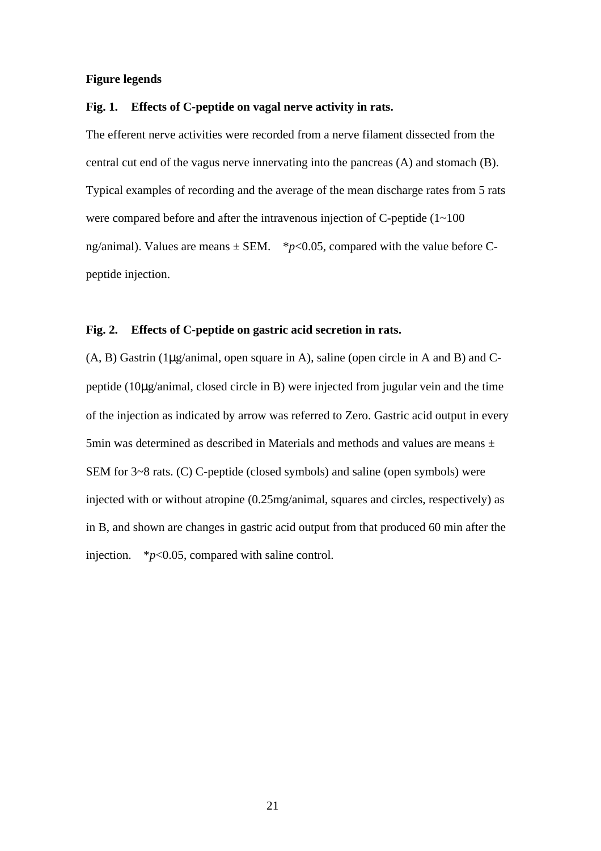### **Figure legends**

## **Fig. 1. Effects of C-peptide on vagal nerve activity in rats.**

The efferent nerve activities were recorded from a nerve filament dissected from the central cut end of the vagus nerve innervating into the pancreas (A) and stomach (B). Typical examples of recording and the average of the mean discharge rates from 5 rats were compared before and after the intravenous injection of  $C$ -peptide  $(1 \sim 100)$ ng/animal). Values are means  $\pm$  SEM. \**p*<0.05, compared with the value before Cpeptide injection.

# **Fig. 2. Effects of C-peptide on gastric acid secretion in rats.**

(A, B) Gastrin (1μg/animal, open square in A), saline (open circle in A and B) and Cpeptide (10μg/animal, closed circle in B) were injected from jugular vein and the time of the injection as indicated by arrow was referred to Zero. Gastric acid output in every 5min was determined as described in Materials and methods and values are means  $\pm$ SEM for 3~8 rats. (C) C-peptide (closed symbols) and saline (open symbols) were injected with or without atropine (0.25mg/animal, squares and circles, respectively) as in B, and shown are changes in gastric acid output from that produced 60 min after the injection. \**p*<0.05, compared with saline control.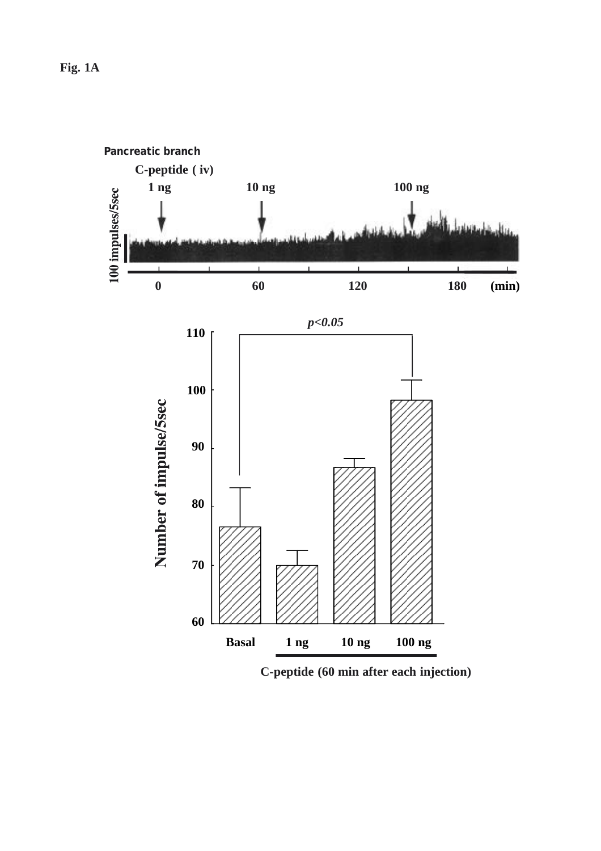

**C-peptide (60 min after each injection)**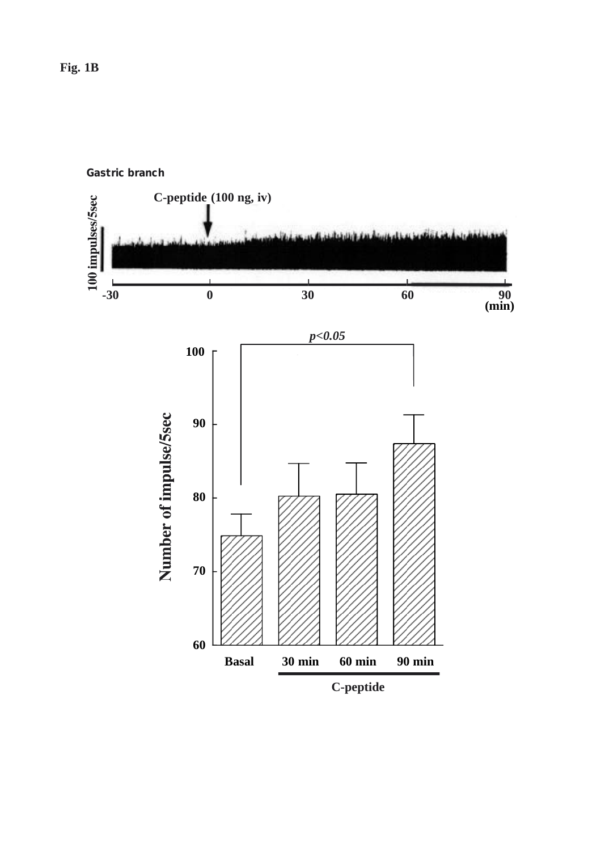**C-peptide (100 ng, iv)** 100 impulses/5sec ī.  $\mathbf{I}$ **(min)-30 0 30 60 90** *p<0.05* **100** Number of impulse/5sec **90 80 70 60 Basal 30 min 60 min 90 min C-peptide**

**Gastric branch**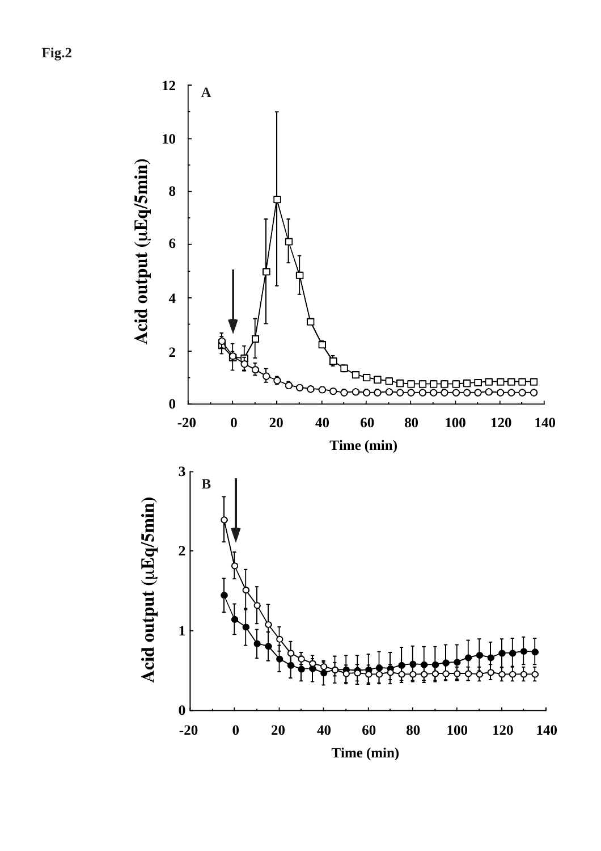